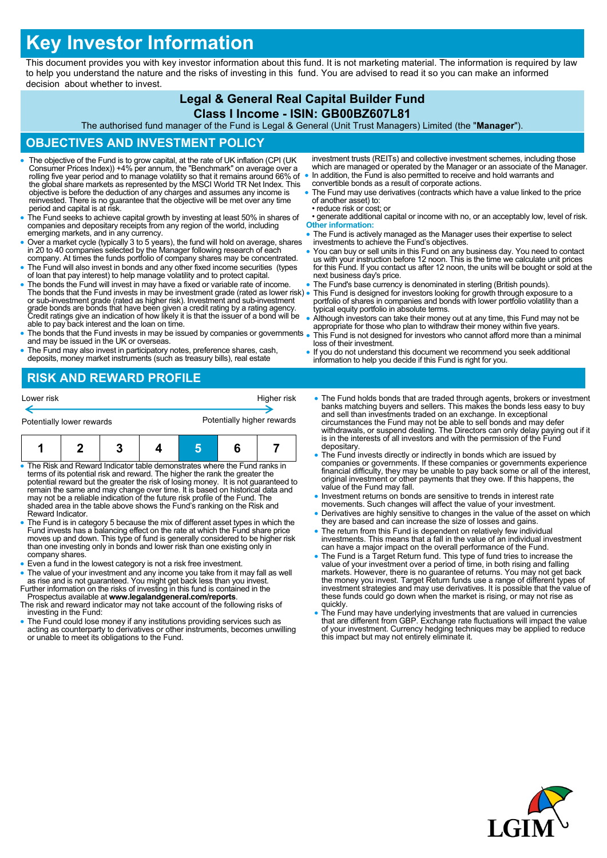# **Key Investor Information**

This document provides you with key investor information about this fund. It is not marketing material. The information is required by law to help you understand the nature and the risks of investing in this fund. You are advised to read it so you can make an informed decision about whether to invest.

## **Legal & General Real Capital Builder Fund**

#### **Class I Income - ISIN: GB00BZ607L81**

The authorised fund manager of the Fund is Legal & General (Unit Trust Managers) Limited (the "**Manager**").

### **OBJECTIVES AND INVESTMENT POLICY**

- The objective of the Fund is to grow capital, at the rate of UK inflation (CPI (UK Consumer Prices Index)) +4% per annum, the "Benchmark" on average over a rolling five year period and to manage volatility so that it remains around 66% of the global share markets as represented by the MSCI World TR Net Index. This objective is before the deduction of any charges and assumes any income is reinvested. There is no guarantee that the objective will be met over any time period and capital is at risk.
- The Fund seeks to achieve capital growth by investing at least 50% in shares of companies and depositary receipts from any region of the world, including emerging markets, and in any currency.
- Over a market cycle (typically 3 to 5 years), the fund will hold on average, shares in 20 to 40 companies selected by the Manager following research of each
- company. At times the funds portfolio of company shares may be concentrated. The Fund will also invest in bonds and any other fixed income securities (types of loan that pay interest) to help manage volatility and to protect capital.
- The bonds the Fund will invest in may have a fixed or variable rate of income. The bonds that the Fund invests in may be investment grade (rated as lower risk) or sub-investment grade (rated as higher risk). Investment and sub-investment grade bonds are bonds that have been given a credit rating by a rating agency. Credit ratings give an indication of how likely it is that the issuer of a bond will be able to pay back interest and the loan on time.
- The bonds that the Fund invests in may be issued by companies or governments and may be issued in the UK or overseas.
- The Fund may also invest in participatory notes, preference shares, cash, deposits, money market instruments (such as treasury bills), real estate
- investment trusts (REITs) and collective investment schemes, including those which are managed or operated by the Manager or an associate of the Manager. • In addition, the Fund is also permitted to receive and hold warrants and convertible bonds as a result of corporate actions.
- The Fund may use derivatives (contracts which have a value linked to the price of another asset) to:
- reduce risk or cost; or • generate additional capital or income with no, or an acceptably low, level of risk. **Other information:**
- The Fund is actively managed as the Manager uses their expertise to select investments to achieve the Fund's objectives.
- You can buy or sell units in this Fund on any business day. You need to contact us with your instruction before 12 noon. This is the time we calculate unit prices for this Fund. If you contact us after 12 noon, the units will be bought or sold at the next business day's price.
- The Fund's base currency is denominated in sterling (British pounds).
- This Fund is designed for investors looking for growth through exposure to a portfolio of shares in companies and bonds with lower portfolio volatility than a typical equity portfolio in absolute terms.
- Although investors can take their money out at any time, this Fund may not be appropriate for those who plan to withdraw their money within five years.
- This Fund is not designed for investors who cannot afford more than a minimal loss of their investment.
- If you do not understand this document we recommend you seek additional information to help you decide if this Fund is right for you.

# **RISK AND REWARD PROFILE**

| Lower risk                                                                 |  |  |  |                            | Higher risk |  |
|----------------------------------------------------------------------------|--|--|--|----------------------------|-------------|--|
| Potentially lower rewards                                                  |  |  |  | Potentially higher rewards |             |  |
|                                                                            |  |  |  |                            |             |  |
| . The Disk and Deward Indicator table demonstrates where the Eund ranks in |  |  |  |                            |             |  |

- The Risk and Reward Indicator table demonstrates where the Fund ranks in<br>terms of its potential risk and reward. The higher the rank the greater the<br>potential reward but the greater the risk of losing money. It is not gu shaded area in the table above shows the Fund's ranking on the Risk and Reward Indicator.
- The Fund is in category 5 because the mix of different asset types in which the Fund invests has a balancing effect on the rate at which the Fund share price moves up and down. This type of fund is generally considered to be higher risk than one investing only in bonds and lower risk than one existing only in company shares.
- Even a fund in the lowest category is not a risk free investment.
- The value of your investment and any income you take from it may fall as well as rise and is not guaranteed. You might get back less than you invest. Further information on the risks of investing in this fund is contained in the
- Prospectus available at **www.legalandgeneral.com/reports**. The risk and reward indicator may not take account of the following risks of investing in the Fund:
- The Fund could lose money if any institutions providing services such as acting as counterparty to derivatives or other instruments, becomes unwilling or unable to meet its obligations to the Fund.
- The Fund holds bonds that are traded through agents, brokers or investment banks matching buyers and sellers. This makes the bonds less easy to buy and sell than investments traded on an exchange. In exceptional circumstances the Fund may not be able to sell bonds and may defer withdrawals, or suspend dealing. The Directors can only delay paying out if it is in the interests of all investors and with the permission of the Fund depositary.
- The Fund invests directly or indirectly in bonds which are issued by companies or governments. If these companies or governments experience financial difficulty, they may be unable to pay back some or all of the interest, original investment or other payments that they owe. If this happens, the value of the Fund may fall.
- Investment returns on bonds are sensitive to trends in interest rate movements. Such changes will affect the value of your investment.
- Derivatives are highly sensitive to changes in the value of the asset on which they are based and can increase the size of losses and gains.
- The return from this Fund is dependent on relatively few individual investments. This means that a fall in the value of an individual investment can have a major impact on the overall performance of the Fund.
- The Fund is a Target Return fund. This type of fund tries to increase the value of your investment over a period of time, in both rising and falling markets. However, there is no guarantee of returns. You may not get bac investment strategies and may use derivatives. It is possible that the value of these funds could go down when the market is rising, or may not rise as quickly.
- The Fund may have underlying investments that are valued in currencies that are different from GBP. Exchange rate fluctuations will impact the value of your investment. Currency hedging techniques may be applied to reduce this impact but may not entirely eliminate it.